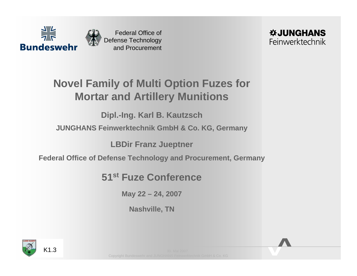



## **Novel Family of Multi Option Fuzes for Mortar and Artillery Munitions**

**Dipl.-Ing. Karl B. Kautzsch**

### **JUNGHANS Feinwerktechnik GmbH & Co. KG, Germany**

**LBDir Franz Jueptner**

**Federal Office of Defense Technology and Procurement, Germany**

**51st Fuze Conference**

**May 22 – 24, 2007**

**Nashville, TN**

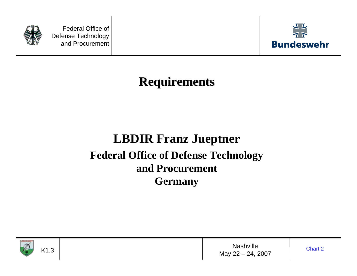



# **Requirements Requirements**

# **LBDIR Franz Jueptner Federal Office of Defense Technology and ProcurementGermany**



**Nashville** May 22 – 24, 2007

Chart 2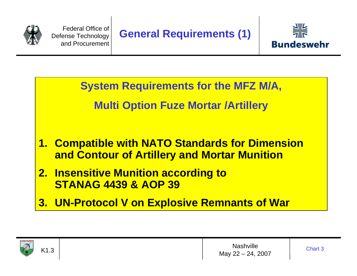



**System Requirements for the MFZ M/A,**

### **Multi Option Fuze Mortar /Artillery**

- **1. Compatible with NATO Standards for Dimension and Contour of Artillery and Mortar Munition**
- **2. Insensitive Munition according to STANAG 4439 & AOP 39**
- **3. UN-Protocol V on Explosive Remnants of War**



K1.3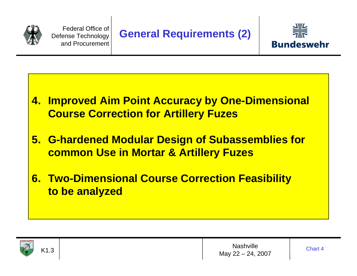



- **4. Improved Aim Point Accuracy by One-Dimensional Course Correction for Artillery Fuzes**
- **5. G-hardened Modular Design of Subassemblies for common Use in Mortar & Artillery Fuzes**
- **6. Two-Dimensional Course Correction Feasibility to be analyzed**

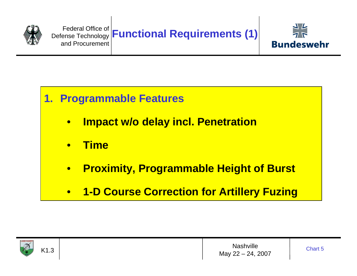



### **1. Programmable Features**

- $\bullet$ **Impact w/o delay incl. Penetration**
- $\bullet$ **Time**
- $\bullet$ **Proximity, Programmable Height of Burst**
- $\bullet$ **1-D Course Correction for Artillery Fuzing**



K1.3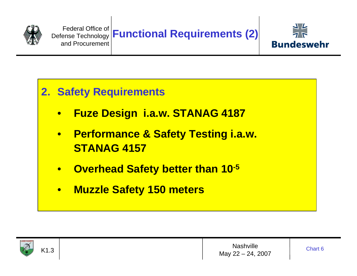



### **2. Safety Requirements**

- $\bullet$ **Fuze Design i.a.w. STANAG 4187**
- $\bullet$  **Performance & Safety Testing i.a.w. STANAG 4157**
- $\bullet$ **Overhead Safety better than 10-5**
- $\bullet$ **Muzzle Safety 150 meters**



K1.3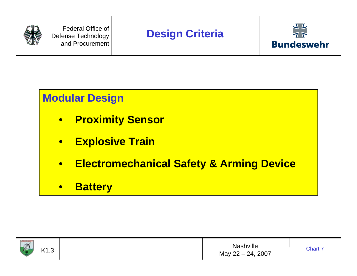



### **Modular Design**

- $\bullet$ **Proximity Sensor**
- $\bullet$ **Explosive Train**
- $\bullet$ **Electromechanical Safety & Arming Device**
- $\bullet$ **Battery**



**Nashville** May 22 – 24, 2007

Chart 7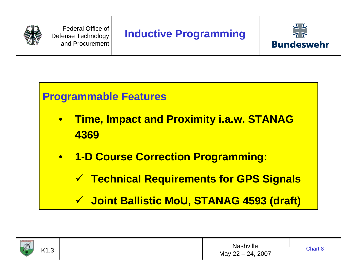



### **Programmable Features**

- $\bullet$  **Time, Impact and Proximity i.a.w. STANAG 4369**
- $\bullet$  **1-D Course Correction Programming:** 
	- 9 **Technical Requirements for GPS Signals**
	- 9 **Joint Ballistic MoU, STANAG 4593 (draft)**



K1.3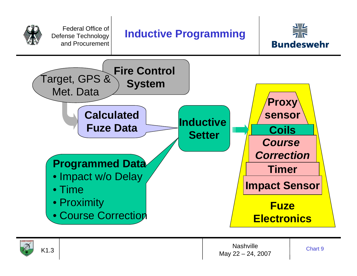





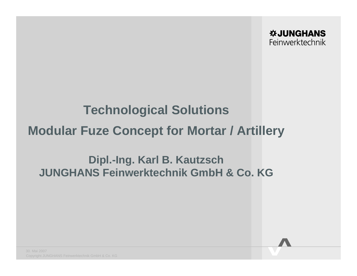# **Technological Solutions Modular Fuze Concept for Mortar / Artillery**

### **Dipl.-Ing. Karl B. Kautzsch JUNGHANS Feinwerktechnik GmbH & Co. KG**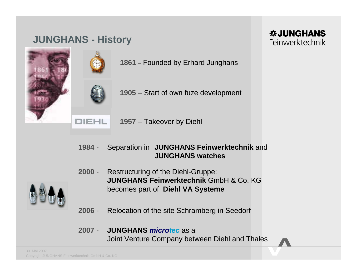### **JUNGHANS - History**

**1861 –** Founded by Erhard Junghans

**1905** – Start of own fuze development

**1957** – Takeover by Diehl

#### **1984** - Separation in **JUNGHANS Feinwerktechnik** and **JUNGHANS watches**

**2000**Restructuring of the Diehl-Gruppe: **JUNGHANS Feinwerktechnik** GmbH & Co. KGbecomes part of **Diehl VA Systeme**

**2006**- Relocation of the site Schramberg in Seedorf

#### **2007** - **JUNGHANS** *microtec* as a Joint Venture Company between Diehl and Thales





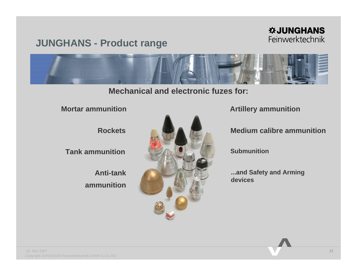### **JUNGHANS - Product range**

### *WJUNGHANS* Feinwerktechnik



**Mechanical and electronic fuzes for:**

**Mortar ammunition**

**Rockets**

**Tank ammunition**

**Anti-tank ammunition**



**Artillery ammunition**

**Medium calibre ammunition**

**Submunition**

**...and Safety and Arming devices**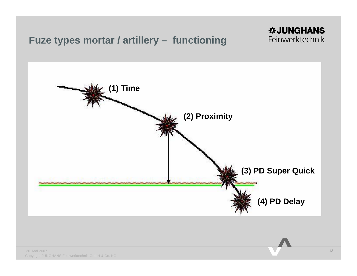### **Fuze types mortar / artillery – functioning**



**※JUNGHANS** Feinwerktechnik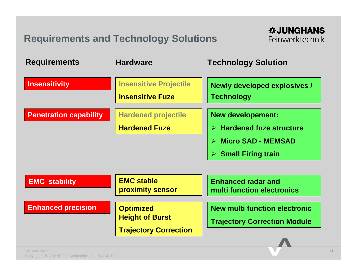### **Requirements and Technology Solutions**

| <b>Requirements</b>           | <b>Hardware</b>                                                            | <b>Technology Solution</b>                                                                                                               |
|-------------------------------|----------------------------------------------------------------------------|------------------------------------------------------------------------------------------------------------------------------------------|
| <b>Insensitivity</b>          | <b>Insensitive Projectile</b><br><b>Insensitive Fuze</b>                   | <b>Newly developed explosives /</b><br><b>Technology</b>                                                                                 |
| <b>Penetration capability</b> | <b>Hardened projectile</b><br><b>Hardened Fuze</b>                         | <b>New developement:</b><br>$\triangleright$ Hardened fuze structure<br><b>Micro SAD - MEMSAD</b><br>$\triangleright$ Small Firing train |
| <b>EMC stability</b>          | <b>EMC stable</b><br>proximity sensor                                      | <b>Enhanced radar and</b><br>multi function electronics                                                                                  |
| <b>Enhanced precision</b>     | <b>Optimized</b><br><b>Height of Burst</b><br><b>Trajectory Correction</b> | <b>New multi function electronic</b><br><b>Trajectory Correction Module</b>                                                              |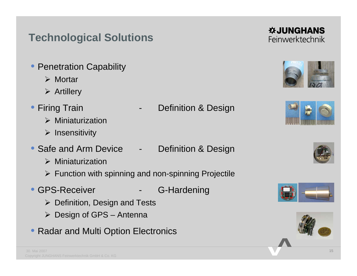## **Technological Solutions**

- Penetration Capability
	- ¾ Mortar
	- $\triangleright$  Artillery
- Firing Train
	- $\triangleright$  Miniaturization
	- ¾ Insensitivity
- Safe and Arm Device Definition & Design
	- $\triangleright$  Miniaturization
	- $\triangleright$  Function with spinning and non-spinning Projectile
- GPS-Receiver The C-Hardening
	- $\triangleright$  Definition, Design and Tests
	- $\triangleright$  Design of GPS Antenna
- Radar and Multi Option Electronics

Definition & Design



**WJUNGHANS** 









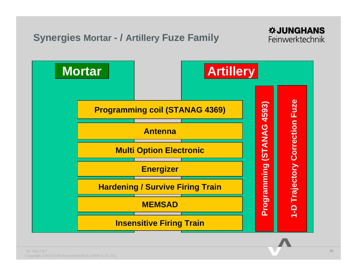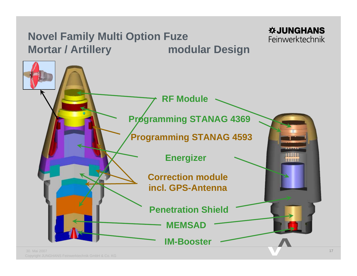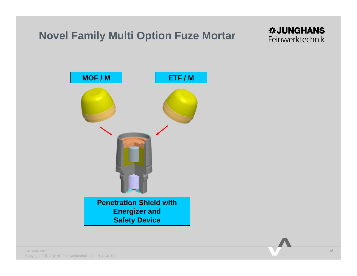### **Novel Family Multi Option Fuze Mortar**



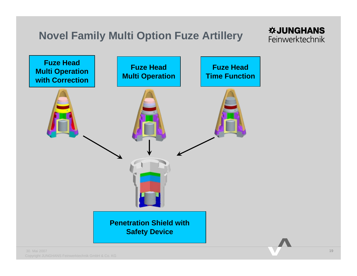### **Novel Family Multi Option Fuze Artillery**

### **WJUNGHANS** Feinwerktechnik

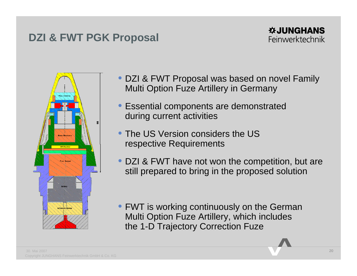### **DZI & FWT PGK Proposal**



- DZI & FWT Proposal was based on novel Family Multi Option Fuze Artillery in Germany
- Essential components are demonstrated during current activities
- The US Version considers the US respective Requirements
- DZI & FWT have not won the competition, but are still prepared to bring in the proposed solution

• FWT is working continuously on the German Multi Option Fuze Artillery, which includes the 1-D Trajectory Correction Fuze

**WJUNGHANS** Feinwerktechnik